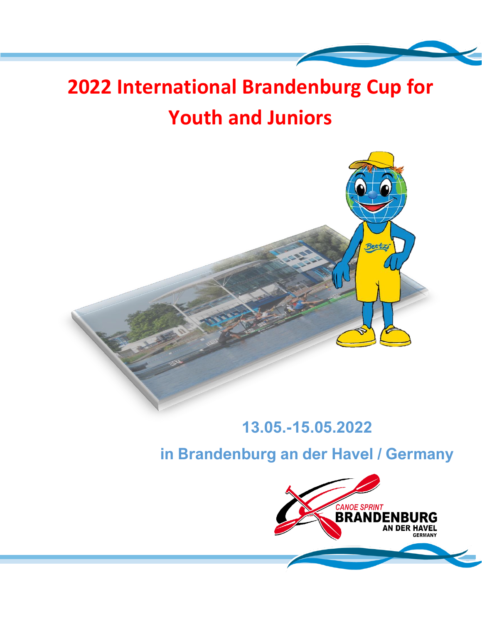# **2022 International Brandenburg Cup for Youth and Juniors**



# **13.05.-15.05.2022**

**in Brandenburg an der Havel / Germany**

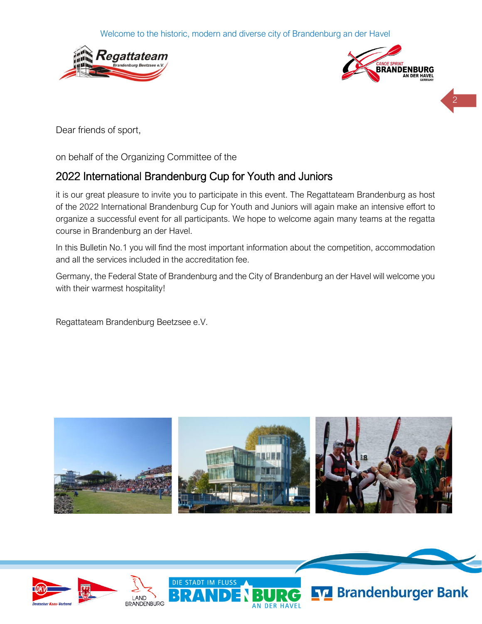Welcome to the historic, modern and diverse city of Brandenburg an der Havel





2

Dear friends of sport,

on behalf of the Organizing Committee of the

# 2022 International Brandenburg Cup for Youth and Juniors

it is our great pleasure to invite you to participate in this event. The Regattateam Brandenburg as host of the 2022 International Brandenburg Cup for Youth and Juniors will again make an intensive effort to organize a successful event for all participants. We hope to welcome again many teams at the regatta course in Brandenburg an der Havel.

In this Bulletin No.1 you will find the most important information about the competition, accommodation and all the services included in the accreditation fee.

Germany, the Federal State of Brandenburg and the City of Brandenburg an der Havel will welcome you with their warmest hospitality!

Regattateam Brandenburg Beetzsee e.V.



**DER HAVE** 

**STADT IM FLUSS** 





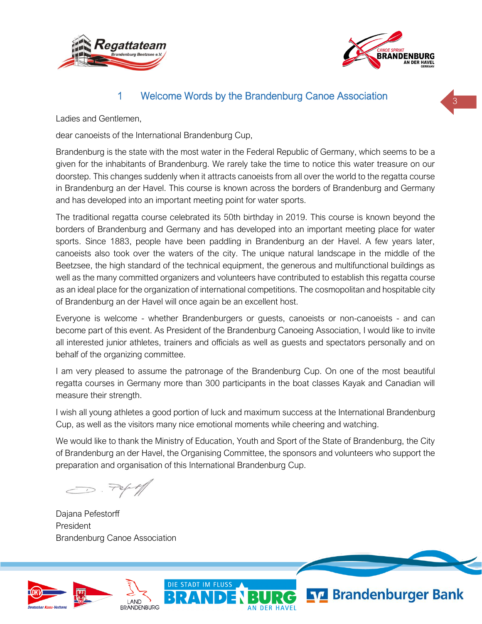



### 1 Welcome Words by the Brandenburg Canoe Association

Ladies and Gentlemen,

dear canoeists of the International Brandenburg Cup,

Brandenburg is the state with the most water in the Federal Republic of Germany, which seems to be a given for the inhabitants of Brandenburg. We rarely take the time to notice this water treasure on our doorstep. This changes suddenly when it attracts canoeists from all over the world to the regatta course in Brandenburg an der Havel. This course is known across the borders of Brandenburg and Germany and has developed into an important meeting point for water sports.

The traditional regatta course celebrated its 50th birthday in 2019. This course is known beyond the borders of Brandenburg and Germany and has developed into an important meeting place for water sports. Since 1883, people have been paddling in Brandenburg an der Havel. A few years later, canoeists also took over the waters of the city. The unique natural landscape in the middle of the Beetzsee, the high standard of the technical equipment, the generous and multifunctional buildings as well as the many committed organizers and volunteers have contributed to establish this regatta course as an ideal place for the organization of international competitions. The cosmopolitan and hospitable city of Brandenburg an der Havel will once again be an excellent host.

Everyone is welcome - whether Brandenburgers or guests, canoeists or non-canoeists - and can become part of this event. As President of the Brandenburg Canoeing Association, I would like to invite all interested junior athletes, trainers and officials as well as guests and spectators personally and on behalf of the organizing committee.

I am very pleased to assume the patronage of the Brandenburg Cup. On one of the most beautiful regatta courses in Germany more than 300 participants in the boat classes Kayak and Canadian will measure their strength.

I wish all young athletes a good portion of luck and maximum success at the International Brandenburg Cup, as well as the visitors many nice emotional moments while cheering and watching.

We would like to thank the Ministry of Education, Youth and Sport of the State of Brandenburg, the City of Brandenburg an der Havel, the Organising Committee, the sponsors and volunteers who support the preparation and organisation of this International Brandenburg Cup.

DIE STADT IM FLUSS

 $\bigcirc$  . Pepty

Dajana Pefestorff President Brandenburg Canoe Association





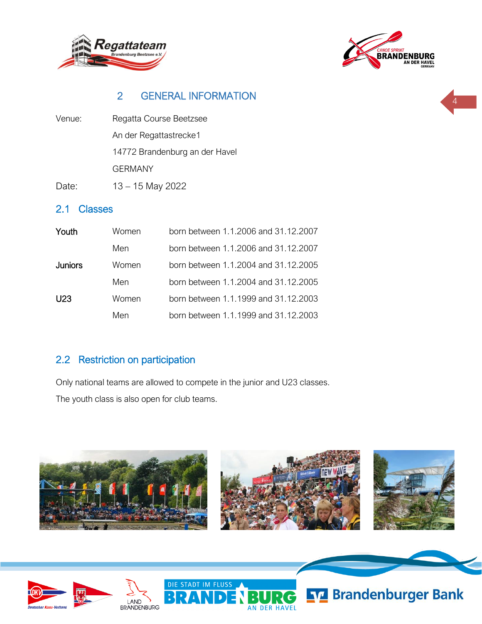



# 2 GENERAL INFORMATION

Venue: Regatta Course Beetzsee An der Regattastrecke1 14772 Brandenburg an der Havel GERMANY

Date: 13 – 15 May 2022

#### 2.1 Classes

| Youth          | Women | born between 1.1.2006 and 31.12.2007 |
|----------------|-------|--------------------------------------|
|                | Men   | born between 1.1.2006 and 31.12.2007 |
| <b>Juniors</b> | Women | born between 1.1.2004 and 31.12.2005 |
|                | Men   | born between 1.1.2004 and 31.12.2005 |
| U23.           | Women | born between 1.1.1999 and 31.12.2003 |
|                | Men   | born between 1.1.1999 and 31.12.2003 |

### 2.2 Restriction on participation

Only national teams are allowed to compete in the junior and U23 classes. The youth class is also open for club teams.

DIE STADT IM FLUSS



**AN DER HAVEL** 





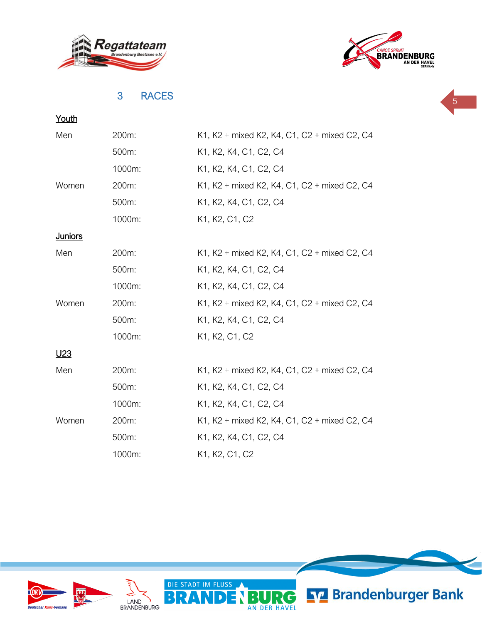



### 3 RACES



| Youth           |        |                                              |
|-----------------|--------|----------------------------------------------|
| Men             | 200m:  | K1, K2 + mixed K2, K4, C1, C2 + mixed C2, C4 |
|                 | 500m:  | K1, K2, K4, C1, C2, C4                       |
|                 | 1000m: | K1, K2, K4, C1, C2, C4                       |
| Women           | 200m:  | K1, K2 + mixed K2, K4, C1, C2 + mixed C2, C4 |
|                 | 500m:  | K1, K2, K4, C1, C2, C4                       |
|                 | 1000m: | K1, K2, C1, C2                               |
| <b>Juniors</b>  |        |                                              |
| Men             | 200m:  | K1, K2 + mixed K2, K4, C1, C2 + mixed C2, C4 |
|                 | 500m:  | K1, K2, K4, C1, C2, C4                       |
|                 | 1000m: | K1, K2, K4, C1, C2, C4                       |
| Women           | 200m:  | K1, K2 + mixed K2, K4, C1, C2 + mixed C2, C4 |
|                 | 500m:  | K1, K2, K4, C1, C2, C4                       |
|                 | 1000m: | K1, K2, C1, C2                               |
| U <sub>23</sub> |        |                                              |
| Men             | 200m:  | K1, K2 + mixed K2, K4, C1, C2 + mixed C2, C4 |
|                 | 500m:  | K1, K2, K4, C1, C2, C4                       |
|                 | 1000m: | K1, K2, K4, C1, C2, C4                       |
| Women           | 200m:  | K1, K2 + mixed K2, K4, C1, C2 + mixed C2, C4 |
|                 | 500m:  | K1, K2, K4, C1, C2, C4                       |
|                 | 1000m: | K1, K2, C1, C2                               |

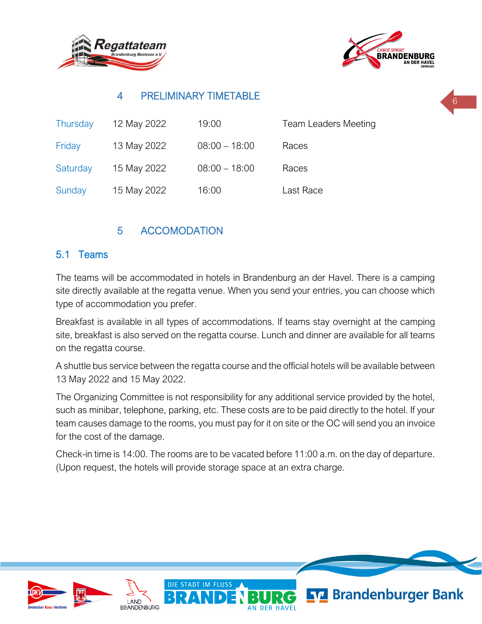



# 4 PRELIMINARY TIMETABLE

| Thursday | 12 May 2022 | 19:00           | <b>Team Leaders Meeting</b> |
|----------|-------------|-----------------|-----------------------------|
| Friday   | 13 May 2022 | $08:00 - 18:00$ | Races                       |
| Saturday | 15 May 2022 | $08:00 - 18:00$ | Races                       |
| Sunday   | 15 May 2022 | 16:00           | Last Race                   |

# 5 ACCOMODATION

### 5.1 Teams

The teams will be accommodated in hotels in Brandenburg an der Havel. There is a camping site directly available at the regatta venue. When you send your entries, you can choose which type of accommodation you prefer.

Breakfast is available in all types of accommodations. If teams stay overnight at the camping site, breakfast is also served on the regatta course. Lunch and dinner are available for all teams on the regatta course.

A shuttle bus service between the regatta course and the official hotels will be available between 13 May 2022 and 15 May 2022.

The Organizing Committee is not responsibility for any additional service provided by the hotel, such as minibar, telephone, parking, etc. These costs are to be paid directly to the hotel. If your team causes damage to the rooms, you must pay for it on site or the OC will send you an invoice for the cost of the damage.

Check-in time is 14:00. The rooms are to be vacated before 11:00 a.m. on the day of departure. (Upon request, the hotels will provide storage space at an extra charge.

DIE STADT IM FLUSS





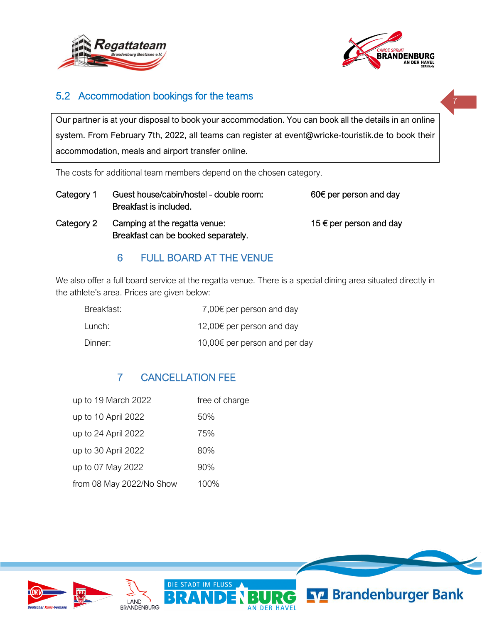



# 5.2 Accommodation bookings for the teams

Our partner is at your disposal to book your accommodation. You can book all the details in an online system. From February 7th, 2022, all teams can register at event@wricke-touristik.de to book their accommodation, meals and airport transfer online.

The costs for additional team members depend on the chosen category.

- Category 1 Guest house/cabin/hostel double room: 60€ per person and day Breakfast is included.
- Category 2 Camping at the regatta venue:  $15 \in per$  per person and day Breakfast can be booked separately.

### 6 FULL BOARD AT THE VENUE

We also offer a full board service at the regatta venue. There is a special dining area situated directly in the athlete's area. Prices are given below:

| Breakfast: | 7,00 $\epsilon$ per person and day  |
|------------|-------------------------------------|
| Lunch:     | 12,00 $\epsilon$ per person and day |
| Dinner:    | 10,00€ per person and per day       |

# 7 CANCELLATION FEE

| up to 19 March 2022      | free of charge |
|--------------------------|----------------|
| up to 10 April 2022      | 50%            |
| up to 24 April 2022      | 75%            |
| up to 30 April 2022      | 80%            |
| up to 07 May 2022        | 90%            |
| from 08 May 2022/No Show | 100%           |

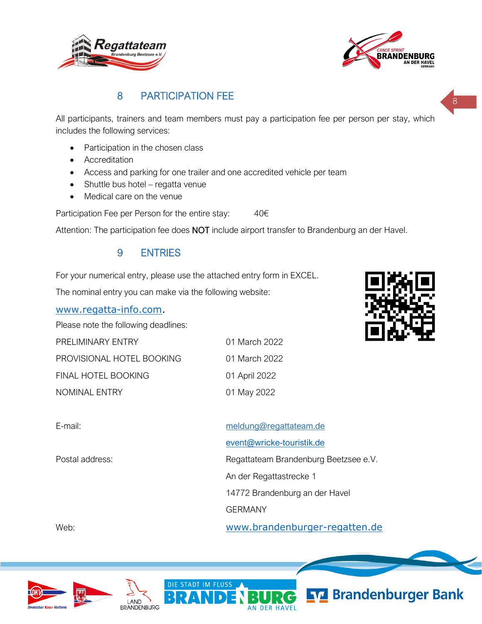



# 8 PARTICIPATION FEE

All participants, trainers and team members must pay a participation fee per person per stay, which includes the following services:

- Participation in the chosen class
- Accreditation
- Access and parking for one trailer and one accredited vehicle per team
- Shuttle bus hotel regatta venue
- Medical care on the venue

Participation Fee per Person for the entire stay:  $40 \in$ 

Attention: The participation fee does NOT include airport transfer to Brandenburg an der Havel.

#### 9 ENTRIES

For your numerical entry, please use the attached entry form in EXCEL.

The nominal entry you can make via the following website:

[www.regatta-info.com.](http://www.regatta-info.com/)

Please note the following deadlines:

| <b>PRELIMINARY ENTRY</b>  | 01 March 2022 |
|---------------------------|---------------|
| PROVISIONAL HOTEL BOOKING | 01 March 2022 |
| FINAL HOTEL BOOKING       | 01 April 2022 |
| <b>NOMINAL ENTRY</b>      | 01 May 2022   |



| E-mail:         | meldung@regattateam.de                |
|-----------------|---------------------------------------|
|                 | event@wricke-touristik.de             |
| Postal address: | Regattateam Brandenburg Beetzsee e.V. |
|                 | An der Regattastrecke 1               |
|                 | 14772 Brandenburg an der Havel        |
|                 | <b>GERMANY</b>                        |
| Web:            | www.brandenburger-regatten.de         |

AN DER HAVEL

DIE STADT IM FLUSS





**N7 Brandenburger Bank**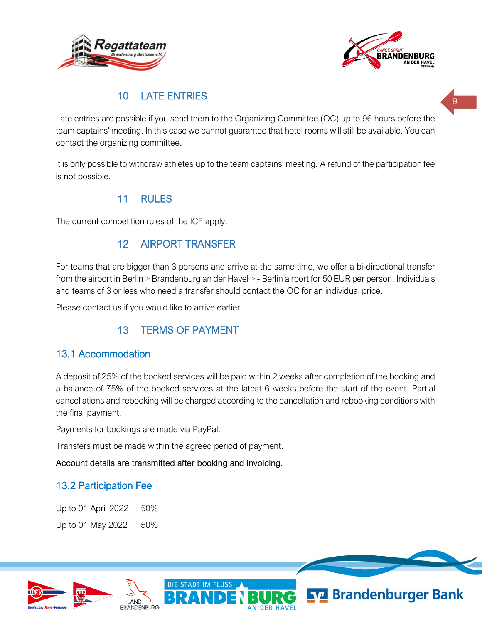



### 10 LATE ENTRIES

Late entries are possible if you send them to the Organizing Committee (OC) up to 96 hours before the team captains' meeting. In this case we cannot guarantee that hotel rooms will still be available. You can contact the organizing committee.

It is only possible to withdraw athletes up to the team captains' meeting. A refund of the participation fee is not possible.

### 11 RULES

The current competition rules of the ICF apply.

### 12 AIRPORT TRANSFER

For teams that are bigger than 3 persons and arrive at the same time, we offer a bi-directional transfer from the airport in Berlin > Brandenburg an der Havel > - Berlin airport for 50 EUR per person. Individuals and teams of 3 or less who need a transfer should contact the OC for an individual price.

Please contact us if you would like to arrive earlier.

# 13 TERMS OF PAYMENT

#### 13.1 Accommodation

A deposit of 25% of the booked services will be paid within 2 weeks after completion of the booking and a balance of 75% of the booked services at the latest 6 weeks before the start of the event. Partial cancellations and rebooking will be charged according to the cancellation and rebooking conditions with the final payment.

Payments for bookings are made via PayPal.

Transfers must be made within the agreed period of payment.

Account details are transmitted after booking and invoicing.

### 13.2 Participation Fee

Up to 01 April 2022 50% Up to 01 May 2022 50%

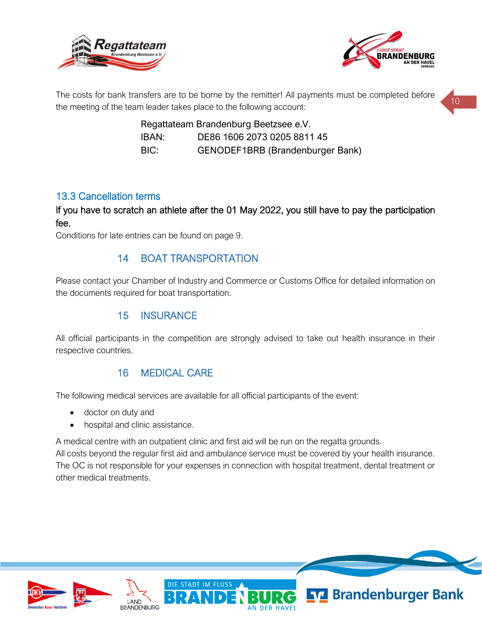



The costs for bank transfers are to be borne by the remitter! All payments must be completed before the meeting of the team leader takes place to the following account:

> Regattateam Brandenburg Beetzsee e.V. IBAN: DE86 1606 2073 0205 8811 45 BIC: GENODEF1BRB (Brandenburger Bank)

#### 13.3 Cancellation terms

If you have to scratch an athlete after the 01 May 2022, you still have to pay the participation fee.

Conditions for late entries can be found on page 9.

### 14 BOAT TRANSPORTATION

Please contact your Chamber of Industry and Commerce or Customs Office for detailed information on the documents required for boat transportation.

### 15 INSURANCE

All official participants in the competition are strongly advised to take out health insurance in their respective countries.

#### 16 MEDICAL CARE

The following medical services are available for all official participants of the event:

DIE STADT IM FLUSS

- doctor on duty and
- hospital and clinic assistance.

A medical centre with an outpatient clinic and first aid will be run on the regatta grounds.

All costs beyond the regular first aid and ambulance service must be covered by your health insurance. The OC is not responsible for your expenses in connection with hospital treatment, dental treatment or other medical treatments.





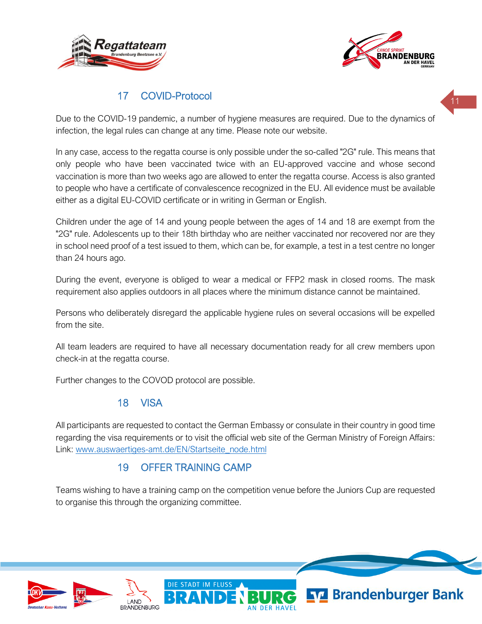



### 17 COVID-Protocol

Due to the COVID-19 pandemic, a number of hygiene measures are required. Due to the dynamics of infection, the legal rules can change at any time. Please note our website.

In any case, access to the regatta course is only possible under the so-called "2G" rule. This means that only people who have been vaccinated twice with an EU-approved vaccine and whose second vaccination is more than two weeks ago are allowed to enter the regatta course. Access is also granted to people who have a certificate of convalescence recognized in the EU. All evidence must be available either as a digital EU-COVID certificate or in writing in German or English.

Children under the age of 14 and young people between the ages of 14 and 18 are exempt from the "2G" rule. Adolescents up to their 18th birthday who are neither vaccinated nor recovered nor are they in school need proof of a test issued to them, which can be, for example, a test in a test centre no longer than 24 hours ago.

During the event, everyone is obliged to wear a medical or FFP2 mask in closed rooms. The mask requirement also applies outdoors in all places where the minimum distance cannot be maintained.

Persons who deliberately disregard the applicable hygiene rules on several occasions will be expelled from the site.

All team leaders are required to have all necessary documentation ready for all crew members upon check-in at the regatta course.

Further changes to the COVOD protocol are possible.

#### 18 VISA

All participants are requested to contact the German Embassy or consulate in their country in good time regarding the visa requirements or to visit the official web site of the German Ministry of Foreign Affairs: Link: [www.auswaertiges-amt.de/EN/Startseite\\_node.html](http://www.auswaertiges-amt.de/EN/Startseite_node.html)

# 19 OFFER TRAINING CAMP

DIE STADT IM FLUSS

Teams wishing to have a training camp on the competition venue before the Juniors Cup are requested to organise this through the organizing committee.





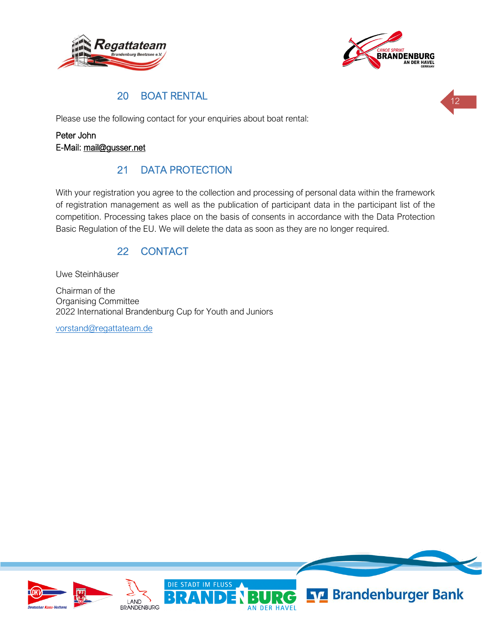



### 20 BOAT RENTAL

Please use the following contact for your enquiries about boat rental:

#### Peter John E-Mail: [mail@gusser.net](mailto:mail@gusser.net)

# 21 DATA PROTECTION

With your registration you agree to the collection and processing of personal data within the framework of registration management as well as the publication of participant data in the participant list of the competition. Processing takes place on the basis of consents in accordance with the Data Protection Basic Regulation of the EU. We will delete the data as soon as they are no longer required.

# 22 CONTACT

Uwe Steinhäuser

Chairman of the Organising Committee 2022 International Brandenburg Cup for Youth and Juniors

[vorstand@regattateam.de](mailto:vorstand@regattateam.de)

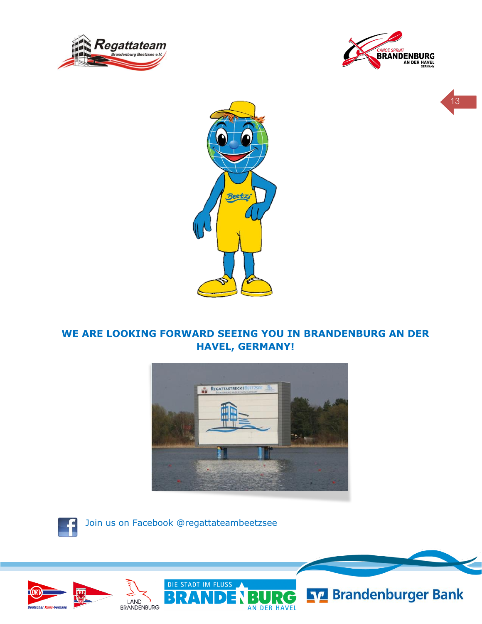





### **WE ARE LOOKING FORWARD SEEING YOU IN BRANDENBURG AN DER HAVEL, GERMANY!**

Beetzi



 $\mathbf{C}$ 

AN DER HAVEL



Join us on Facebook @regattateambeetzsee

DIE STADT IM FLUSS





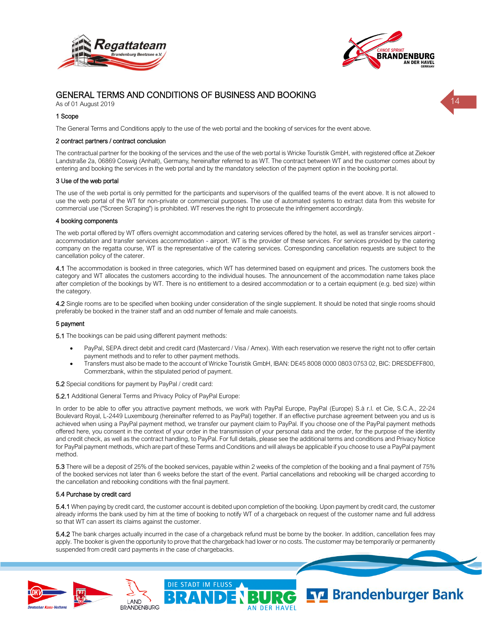



#### GENERAL TERMS AND CONDITIONS OF BUSINESS AND BOOKING

As of 01 August 2019

#### 1 Scope

The General Terms and Conditions apply to the use of the web portal and the booking of services for the event above.

#### 2 contract partners / contract conclusion

The contractual partner for the booking of the services and the use of the web portal is Wricke Touristik GmbH, with registered office at Ziekoer Landstraße 2a, 06869 Coswig (Anhalt), Germany, hereinafter referred to as WT. The contract between WT and the customer comes about by entering and booking the services in the web portal and by the mandatory selection of the payment option in the booking portal.

#### 3 Use of the web portal

The use of the web portal is only permitted for the participants and supervisors of the qualified teams of the event above. It is not allowed to use the web portal of the WT for non-private or commercial purposes. The use of automated systems to extract data from this website for commercial use ("Screen Scraping") is prohibited. WT reserves the right to prosecute the infringement accordingly.

#### 4 booking components

The web portal offered by WT offers overnight accommodation and catering services offered by the hotel, as well as transfer services airport accommodation and transfer services accommodation - airport. WT is the provider of these services. For services provided by the catering company on the regatta course, WT is the representative of the catering services. Corresponding cancellation requests are subject to the cancellation policy of the caterer.

4.1 The accommodation is booked in three categories, which WT has determined based on equipment and prices. The customers book the category and WT allocates the customers according to the individual houses. The announcement of the accommodation name takes place after completion of the bookings by WT. There is no entitlement to a desired accommodation or to a certain equipment (e.g. bed size) within the category.

4.2 Single rooms are to be specified when booking under consideration of the single supplement. It should be noted that single rooms should preferably be booked in the trainer staff and an odd number of female and male canoeists.

#### 5 payment

5.1 The bookings can be paid using different payment methods:

- PayPal, SEPA direct debit and credit card (Mastercard / Visa / Amex). With each reservation we reserve the right not to offer certain payment methods and to refer to other payment methods.
- Transfers must also be made to the account of Wricke Touristik GmbH, IBAN: DE45 8008 0000 0803 0753 02, BIC: DRESDEFF800, Commerzbank, within the stipulated period of payment.

5.2 Special conditions for payment by PayPal / credit card:

LAND **BRANDENBURG** 

5.2.1 Additional General Terms and Privacy Policy of PayPal Europe:

In order to be able to offer you attractive payment methods, we work with PayPal Europe, PayPal (Europe) S.à r.l. et Cie, S.C.A., 22-24 Boulevard Royal, L-2449 Luxembourg (hereinafter referred to as PayPal) together. If an effective purchase agreement between you and us is achieved when using a PayPal payment method, we transfer our payment claim to PayPal. If you choose one of the PayPal payment methods offered here, you consent in the context of your order in the transmission of your personal data and the order, for the purpose of the identity and credit check, as well as the contract handling, to PayPal. For full details, please see the additional terms and conditions and Privacy Notice for PayPal payment methods, which are part of these Terms and Conditions and will always be applicable if you choose to use a PayPal payment method.

5.3 There will be a deposit of 25% of the booked services, payable within 2 weeks of the completion of the booking and a final payment of 75% of the booked services not later than 6 weeks before the start of the event. Partial cancellations and rebooking will be charged according to the cancellation and rebooking conditions with the final payment.

#### 5.4 Purchase by credit card

5.4.1 When paying by credit card, the customer account is debited upon completion of the booking. Upon payment by credit card, the customer already informs the bank used by him at the time of booking to notify WT of a chargeback on request of the customer name and full address so that WT can assert its claims against the customer.

5.4.2 The bank charges actually incurred in the case of a chargeback refund must be borne by the booker. In addition, cancellation fees may apply. The booker is given the opportunity to prove that the chargeback had lower or no costs. The customer may be temporarily or permanently suspended from credit card payments in the case of chargebacks.